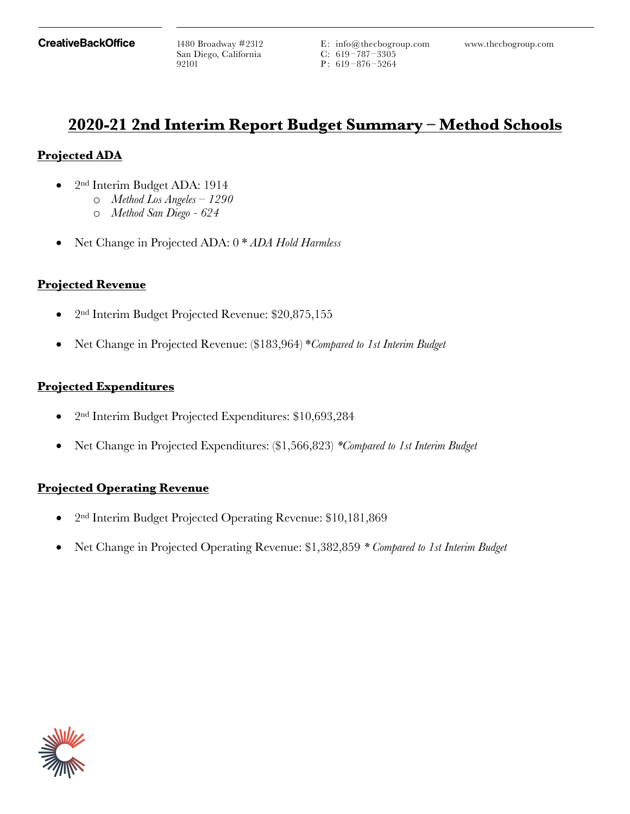San Diego, California 92101

E: info@thecbogroup.com 1480 Broadway #2312 www.thecbogroup.com C: 619 –787–3305 P:  $619 - 876 - 5264$ 

# **2020-21 2nd Interim Report Budget Summary – Method Schools**

## **Projected ADA**

- 2nd Interim Budget ADA: 1914
	- o *Method Los Angeles 1290*
		- o *Method San Diego 624*
- Net Change in Projected ADA: 0 \* *ADA Hold Harmless*

## **Projected Revenue**

- 2<sup>nd</sup> Interim Budget Projected Revenue: \$20,875,155
- Net Change in Projected Revenue: (\$183,964) \**Compared to 1st Interim Budget*

## **Projected Expenditures**

- 2<sup>nd</sup> Interim Budget Projected Expenditures: \$10,693,284
- Net Change in Projected Expenditures: (\$1,566,823) *\*Compared to 1st Interim Budget*

## **Projected Operating Revenue**

- 2nd Interim Budget Projected Operating Revenue: \$10,181,869
- Net Change in Projected Operating Revenue: \$1,382,859 *\* Compared to 1st Interim Budget*

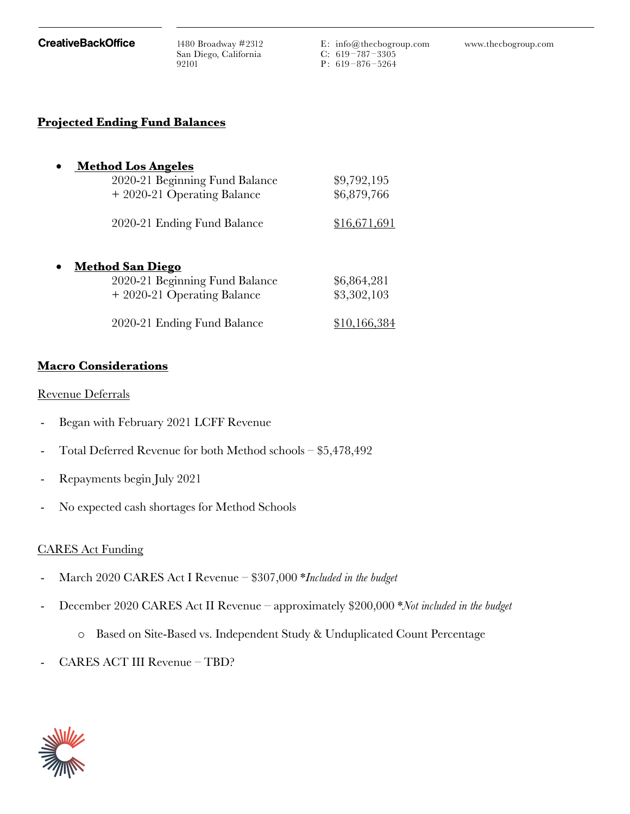San Diego, California 92101

E: info@thecbogroup.com 1480 Broadway #2312 www.thecbogroup.com C: 619 –787–3305 P:  $619 - 876 - 5264$ 

#### **Projected Ending Fund Balances**

| <u>Method Los Angeles</u>      |              |
|--------------------------------|--------------|
| 2020-21 Beginning Fund Balance | \$9,792,195  |
| + 2020-21 Operating Balance    | \$6,879,766  |
| 2020-21 Ending Fund Balance    | \$16,671,691 |
| <u>Method San Diego</u>        |              |
| 2020-21 Beginning Fund Balance | \$6,864,281  |
| + 2020-21 Operating Balance    | \$3,302,103  |
| 2020-21 Ending Fund Balance    |              |

#### **Macro Considerations**

#### Revenue Deferrals

- Began with February 2021 LCFF Revenue
- Total Deferred Revenue for both Method schools  $$5,478,492$
- Repayments begin July 2021
- No expected cash shortages for Method Schools

#### CARES Act Funding

- March 2020 CARES Act I Revenue \$307,000 \**Included in the budget*
- December 2020 CARES Act II Revenue approximately \$200,000 \**Not included in the budget*
	- o Based on Site-Based vs. Independent Study & Unduplicated Count Percentage
- CARES ACT III Revenue TBD?

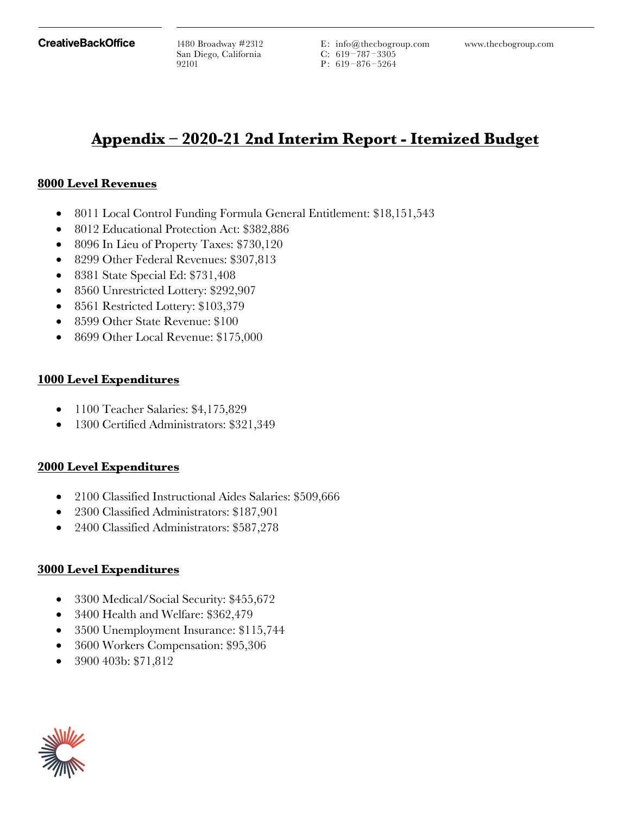San Diego, California 92101

E: info@thecbogroup.com 1480 Broadway #2312 www.thecbogroup.com C: 619 –787–3305 P:  $619 - 876 - 5264$ 

# **Appendix – 2020-21 2nd Interim Report - Itemized Budget**

#### **8000 Level Revenues**

- 8011 Local Control Funding Formula General Entitlement: \$18,151,543
- 8012 Educational Protection Act: \$382,886
- 8096 In Lieu of Property Taxes: \$730,120
- 8299 Other Federal Revenues: \$307,813
- 8381 State Special Ed: \$731,408
- 8560 Unrestricted Lottery: \$292,907
- 8561 Restricted Lottery: \$103,379
- 8599 Other State Revenue: \$100
- 8699 Other Local Revenue: \$175,000

#### **1000 Level Expenditures**

- 1100 Teacher Salaries: \$4,175,829
- 1300 Certified Administrators: \$321,349

#### **2000 Level Expenditures**

- 2100 Classified Instructional Aides Salaries: \$509,666
- 2300 Classified Administrators: \$187,901
- 2400 Classified Administrators: \$587,278

#### **3000 Level Expenditures**

- 3300 Medical/Social Security: \$455,672
- 3400 Health and Welfare: \$362,479
- 3500 Unemployment Insurance: \$115,744
- 3600 Workers Compensation: \$95,306
- 3900 403b: \$71,812

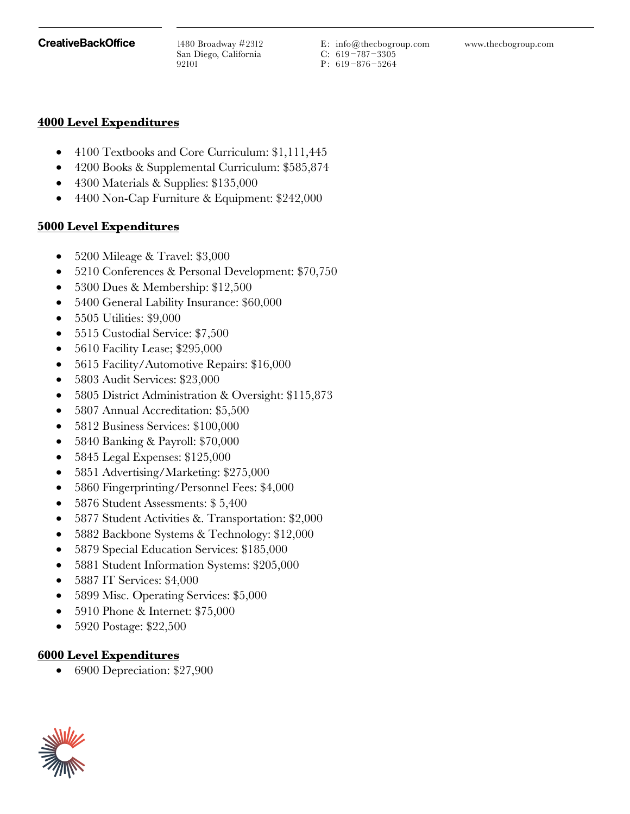San Diego, California 92101

E: info@thecbogroup.com 1480 Broadway #2312 www.thecbogroup.com C: 619 –787–3305 P:  $619 - 876 - 5264$ 

### **4000 Level Expenditures**

- 4100 Textbooks and Core Curriculum: \$1,111,445
- 4200 Books & Supplemental Curriculum: \$585,874
- 4300 Materials & Supplies: \$135,000
- 4400 Non-Cap Furniture & Equipment: \$242,000

## **5000 Level Expenditures**

- 5200 Mileage & Travel: \$3,000
- 5210 Conferences & Personal Development: \$70,750
- 5300 Dues & Membership: \$12,500
- 5400 General Lability Insurance: \$60,000
- 5505 Utilities: \$9,000
- 5515 Custodial Service: \$7,500
- 5610 Facility Lease; \$295,000
- 5615 Facility/Automotive Repairs: \$16,000
- 5803 Audit Services: \$23,000
- 5805 District Administration & Oversight: \$115,873
- 5807 Annual Accreditation: \$5,500
- 5812 Business Services: \$100,000
- 5840 Banking & Payroll: \$70,000
- 5845 Legal Expenses: \$125,000
- 5851 Advertising/Marketing: \$275,000
- 5860 Fingerprinting/Personnel Fees: \$4,000
- 5876 Student Assessments: \$ 5,400
- 5877 Student Activities &. Transportation: \$2,000
- 5882 Backbone Systems & Technology: \$12,000
- 5879 Special Education Services: \$185,000
- 5881 Student Information Systems: \$205,000
- 5887 IT Services: \$4,000
- 5899 Misc. Operating Services: \$5,000
- 5910 Phone & Internet: \$75,000
- 5920 Postage: \$22,500

## **6000 Level Expenditures**

• 6900 Depreciation: \$27,900

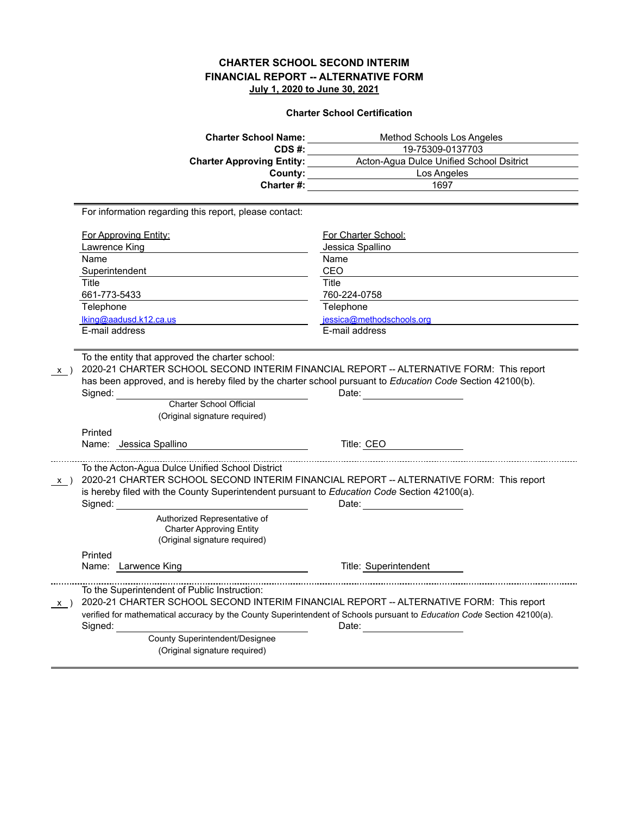**Charter School Certification**

| <b>Charter School Name:</b>                                                                                                                                                                                                                                                                   | Method Schools Los Angeles                                                                                                       |
|-----------------------------------------------------------------------------------------------------------------------------------------------------------------------------------------------------------------------------------------------------------------------------------------------|----------------------------------------------------------------------------------------------------------------------------------|
| CDS #:                                                                                                                                                                                                                                                                                        | 19-75309-0137703                                                                                                                 |
| <b>Charter Approving Entity:</b>                                                                                                                                                                                                                                                              | Acton-Agua Dulce Unified School Dsitrict                                                                                         |
| County:                                                                                                                                                                                                                                                                                       | Los Angeles                                                                                                                      |
| Charter #:                                                                                                                                                                                                                                                                                    | 1697                                                                                                                             |
| For information regarding this report, please contact:                                                                                                                                                                                                                                        |                                                                                                                                  |
| For Approving Entity:                                                                                                                                                                                                                                                                         | For Charter School:                                                                                                              |
| Lawrence King                                                                                                                                                                                                                                                                                 | Jessica Spallino                                                                                                                 |
| Name                                                                                                                                                                                                                                                                                          | Name                                                                                                                             |
| Superintendent                                                                                                                                                                                                                                                                                | CEO                                                                                                                              |
| Title                                                                                                                                                                                                                                                                                         | Title                                                                                                                            |
| 661-773-5433                                                                                                                                                                                                                                                                                  | 760-224-0758                                                                                                                     |
| Telephone                                                                                                                                                                                                                                                                                     | Telephone                                                                                                                        |
| $\lim_{\alpha\to 0} \alpha$ and use of $k$ 12 ca.us                                                                                                                                                                                                                                           | jessica@methodschools.org                                                                                                        |
| E-mail address                                                                                                                                                                                                                                                                                | E-mail address                                                                                                                   |
| Charter School Official<br>(Original signature required)<br>Printed<br>Name: Jessica Spallino                                                                                                                                                                                                 | Title: CEO                                                                                                                       |
| To the Acton-Agua Dulce Unified School District<br>2020-21 CHARTER SCHOOL SECOND INTERIM FINANCIAL REPORT -- ALTERNATIVE FORM: This report<br>$x$ )<br>is hereby filed with the County Superintendent pursuant to Education Code Section 42100(a).<br>Signed:<br>Authorized Representative of | Date: <b>Date:</b>                                                                                                               |
| <b>Charter Approving Entity</b><br>(Original signature required)                                                                                                                                                                                                                              |                                                                                                                                  |
| Printed                                                                                                                                                                                                                                                                                       |                                                                                                                                  |
| Name: Larwence King                                                                                                                                                                                                                                                                           | Title: Superintendent                                                                                                            |
| To the Superintendent of Public Instruction:<br>2020-21 CHARTER SCHOOL SECOND INTERIM FINANCIAL REPORT -- ALTERNATIVE FORM: This report<br>x )<br>Signed:<br>County Superintendent/Designee                                                                                                   | verified for mathematical accuracy by the County Superintendent of Schools pursuant to Education Code Section 42100(a).<br>Date: |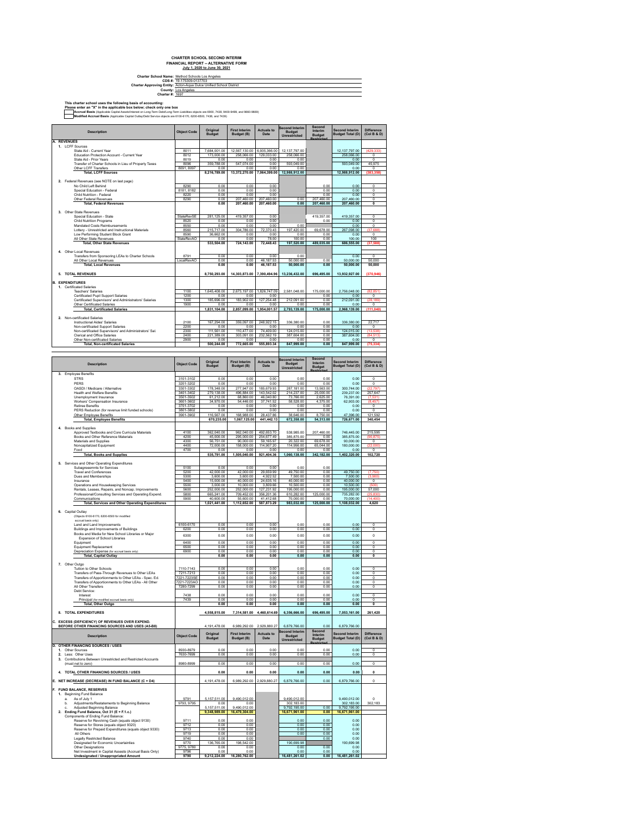| Charter School Name: Method Schools Los Angeles                    |
|--------------------------------------------------------------------|
| CDS #: 19-175309-0137703                                           |
| Charter Approving Entity: Acton-Aqua Dulce Unified School District |
| County: Los Angeles                                                |
| <b>Charter #: 1697</b>                                             |
|                                                                    |

This charter school uses the following basis of accounting:<br>Please enter an "X" in the applicable box below; check only one box<br>**Accousi Basis** (Applicable Capital Assessinterstate in Lors) Term Destrict and the mail and p

|    | <b>Description</b>                                                                                                          | <b>Object Code</b>        | Original<br><b>Budget</b>    | <b>First Interim</b><br>Budget (B)       | <b>Actuals to</b><br>Date | Second Interim<br><b>Budget</b><br><b>Unrestricted</b> | Second<br>Interim<br><b>Budget</b> | Second Interim<br><b>Budget Total (D)</b>        | <b>Difference</b><br>(Col B & D) |
|----|-----------------------------------------------------------------------------------------------------------------------------|---------------------------|------------------------------|------------------------------------------|---------------------------|--------------------------------------------------------|------------------------------------|--------------------------------------------------|----------------------------------|
|    | A. REVENUES<br>1. LCFF Sources                                                                                              |                           |                              |                                          |                           |                                                        |                                    |                                                  |                                  |
|    | State Aid - Current Year<br>Education Protection Account - Current Year                                                     | 8011<br>8012              | 7.684.001.00<br>173,000.00   | 12,567,130.00 6,935,366.00<br>258,066.00 | 129,033.00                | 12, 137, 797.00<br>258,066.00                          |                                    | 12,137,797.00<br>258,066.00                      | (429.333<br>$^{\circ}$           |
|    | State Aid - Prior Years                                                                                                     | 8019                      | 0.00                         | 0.00                                     | 0.00                      | 0.00                                                   |                                    | 0.00<br>593,049.00                               | $\overline{\mathbf{0}}$          |
|    | Transfer of Charter Schools in Lieu of Property Taxes<br>Other LCFF Transfers                                               | 8096<br>8091, 8097        | 359,788.00<br>0.00           | 547,074.00<br>0.00                       | 0.00<br>0.00              | 593,049.00<br>0.00                                     |                                    | 0.00                                             | 45,975<br>$\overline{0}$         |
|    | <b>Total, LCFF Sources</b>                                                                                                  |                           | 8,216,789.00                 | 13,372,270.00                            | 7,064,399.00              | 12,988,912.00                                          |                                    | 12,988,912.00                                    |                                  |
|    | 2. Federal Revenues (see NOTE on last page)<br>No Child Left Behind                                                         | 8290                      | 0.00                         | 0.00                                     | 0.00                      |                                                        | 0.00                               | 0.00                                             | $\circ$                          |
|    | Special Education - Federal                                                                                                 | 8181, 8182                | 0.00                         | 0.00                                     | 0.00                      |                                                        | 0.00                               | 0.00                                             | $\overline{0}$                   |
|    | Child Nutrition - Federal<br>Other Federal Revenues                                                                         | 8220<br>8290              | 0.00<br>0.00                 | 0.00<br>207,460.00                       | 0.00<br>207,460.00        | 0.00                                                   | 0.00<br>207,460.00                 | 0.00<br>207,460.00                               | $\mathbf 0$<br>ö                 |
|    | <b>Total, Federal Revenues</b>                                                                                              |                           | 0.00                         | 207.460.00                               | 207.460.00                | 0.00                                                   | 207,460.00                         | 207,460.00                                       | $\overline{\mathbf{0}}$          |
|    | 3. Other State Revenues<br>Special Education - State                                                                        | StateRevSE                | 281,125.00                   | 419.357.00                               | 0.00                      |                                                        | 419.357.00                         | 419,357.00                                       | $\circ$                          |
|    | Child Nutrition Programs                                                                                                    | 8520                      | 0.00                         | 0.00                                     | 0.00                      |                                                        | 0.00                               | 0.00                                             | 0                                |
|    | Mandated Costs Reimbursements<br>Lottery - Unrestricted and Instructional Materials                                         | 8550<br>8560              | 0.00<br>215,717.00           | 0.00<br>304,786.00                       | 0.00<br>72,370.43         | 0.00<br>197,420.00                                     | 69,678.00                          | 0.00<br>267,098.00                               | $\mathbf 0$<br>(37, 686)         |
|    | Low Performing Student Block Grant<br>All Other State Revenues                                                              | 8590<br>StateRevAO        | 36,662.00<br>0.00            | 0.00<br>0.00                             | 0.00<br>78.00             | 0.00<br>100.00                                         | 0.00<br>0.00                       | 0.00<br>100.00                                   | $\overline{0}$<br>100            |
|    | <b>Total, Other State Revenues</b>                                                                                          |                           | 533.504.00                   | 724.143.00                               | 72.448.43                 | 197,520.00                                             | 489,035.00                         | 686,555.00                                       | (37.58                           |
|    | 4. Other Local Revenues                                                                                                     |                           |                              |                                          |                           |                                                        |                                    |                                                  |                                  |
|    | Transfers from Sponsoring LEAs to Charter Schools<br>All Other Local Revenues                                               | 8791<br>LocalRevAO        | 0.00<br>0.00                 | 0.00<br>0.00                             | 0.00<br>46, 187.53        | 0.00<br>50,000.00                                      | 0.00                               | 0.00<br>50,000.00                                | $\overline{0}$<br>50,000         |
|    | <b>Total, Local Revenues</b>                                                                                                |                           | 0.00                         | 0.00                                     | 46, 187.53                | 50.000.00                                              | 0.00                               | 50,000.00                                        | 50,000                           |
|    | 5. TOTAL REVENUES                                                                                                           |                           | 8,750,293.00                 | 14,303,873.00                            | 7,390,494.96              | 13,236,432.00                                          | 696,495.00                         | 13,932,927.00                                    | (370,946                         |
|    | <b>B. EXPENDITURES</b>                                                                                                      |                           |                              |                                          |                           |                                                        |                                    |                                                  |                                  |
|    | 1. Certificated Salaries<br><b>Teachers' Salaries</b>                                                                       | 1100                      | 1,645,408.00                 | 2,673,197.00 1,826,747.09                |                           | 2,581,048.00                                           | 175,000.00                         | 2,756,048.00                                     | (82, 851)                        |
|    | Certificated Pupil Support Salaries                                                                                         | 1200                      | 0.00                         | 0.00                                     | 0.00                      |                                                        | 0.00                               | 0.00                                             | $\circ$                          |
|    | Certificated Supervisors' and Administrators' Salaries<br>Other Certificated Salaries                                       | 1300<br>1900              | 185,696.00<br>0.00           | 183,902.00<br>0.00                       | 127,254.48<br>0.00        | 212,091.00<br>0.00                                     | 0.00<br>0.00                       | 212.091.00<br>0.00                               | (28, 189)<br>$^{\circ}$          |
|    | <b>Total, Certificated Salaries</b>                                                                                         |                           | 1,831,104.00                 | 2,857,099.00 1,954,001.57                |                           | 2,793,139.00                                           | 175,000.00                         | 2,968,139.00                                     | (111,040                         |
|    | 2. Non-certificated Salaries                                                                                                |                           |                              |                                          |                           |                                                        |                                    |                                                  |                                  |
|    | Instructional Aides' Salaries<br>Non-certificated Support Salaries                                                          | 2100<br>2200              | 167,294.00<br>0.00           | 359,097.00<br>0.00                       | 248,922.15<br>0.00        | 336,380.00<br>0.00                                     | 0.00<br>0.00                       | 336,380.00<br>0.00                               | 22,717<br>$\mathbf 0$            |
|    | Non-certificated Supervisors' and Administrators' Sal.<br>Clerical and Office Salaries                                      | 2300<br>2400              | 111,561.00<br>221,389.00     | 110,477.00<br>303,091.00                 | 74,409.00<br>232,562.19   | 124,015.00<br>387,604.00                               | 0.00<br>0.00                       | 124,015.00<br>387,604.00                         | (13, 538)<br>(84, 513)           |
|    | Other Non-certificated Salaries                                                                                             | 2900                      | 0.00                         | 0.00                                     | 0.00                      | 0.00                                                   | 0.00                               | 0.00                                             | $^{\circ}$                       |
|    | <b>Total, Non-certificated Salaries</b>                                                                                     |                           | 500,244.00                   | 772,665.00                               | 555,893.34                | 847,999.00                                             | 0.00                               | 847,999.00                                       | (75, 334)                        |
|    |                                                                                                                             |                           |                              |                                          |                           |                                                        | Second                             |                                                  |                                  |
|    | <b>Description</b>                                                                                                          | <b>Object Code</b>        | Original<br>Budget           | First Interim<br>Budget (B)              | <b>Actuals to</b><br>Date | Second Interim<br><b>Budget</b>                        | Interim<br><b>Budget</b>           | Second Interim<br>Budget Total (D)               | Difference<br>(Col B & D)        |
|    | 3. Employee Benefits                                                                                                        |                           |                              |                                          |                           | Unrestricted                                           |                                    |                                                  |                                  |
|    | <b>STRS</b>                                                                                                                 | 3101-3102                 | 0.00                         | 0.00                                     | 0.00                      | 0.00                                                   | 0.00                               | 0.00                                             | $^{\circ}$                       |
|    | PFRS<br>OASDI / Medicare / Alternative                                                                                      | 3201-3202<br>3301-3302    | 0.00<br>178,348.00           | 0.00<br>277,947.00                       | 0.00<br>185,679.93        | 0.00<br>287,181.00                                     | 0.00<br>13,563.00                  | 0.00<br>300,744.00                               | $\mathbf{0}$                     |
|    | <b>Health and Welfare Benefits</b><br>Unemployment Insurance                                                                | 3401-3402<br>3501-3502    | 279,138.00<br>61 212 00      | 496,884.00<br>68,860.00                  | 143,542.02<br>46,040.80   | 214,237.00<br>73.766.00                                | 25,000.00<br>2.625.00              | 239,237.00<br>76.391.00                          | 257,647<br>(7.53)                |
|    | Workers' Compensation Insurance                                                                                             | 3601-3602                 | 34,970.00                    | 54.446.00                                | 37,741.52                 | 58,528.00                                              | 4,375.00                           | 62.903.00                                        | (8, 457)                         |
|    | Retiree Benefits<br>PERS Reduction (for revenue limit funded schools)                                                       | 3701-3702<br>3801-3802    | 0.00<br>0.00                 | 0.00<br>0.00                             | 0.00<br>0.00              | 0.00<br>0.00                                           | 0.00<br>0.00                       | 0.00<br>0.00                                     | $^{\circ}$<br>0                  |
|    | Other Employee Benefits                                                                                                     | 3901-3902                 | 116,567.00<br>670,235.00     | 168,988.00<br>1,067,125.00               | 28,437.86<br>441.442.13   | 38,646.00<br>672,358.00                                | 8,750.00<br>54,313.00              | 47,396.00<br>726,671.00                          | 121,592<br>340,454               |
|    | <b>Total, Employee Benefits</b>                                                                                             |                           |                              |                                          |                           |                                                        |                                    |                                                  |                                  |
|    | 4. Books and Supplies<br>Approved Textbooks and Core Curricula Materials                                                    | 4100                      | 362.040.00                   | 962.040.00                               | 492.653.70                | 538.985.00                                             | 207,460.00                         | 746.445.00                                       | 215.595                          |
|    | Books and Other Reference Materials<br>Materials and Supplies                                                               | 4200<br>4300              | 45,000.00<br>56,751.00       | 295,000.00<br>90,000.00                  | 254,677.49<br>59, 165.97  | 385,875.00<br>20,322.00                                | 0.00<br>69,678.00                  | 385,875.00<br>90,000.00                          | (90, 875)<br>$\mathbf 0$         |
|    | Noncapitalized Equipment                                                                                                    | 4400                      | 72,000.00                    | 158,000.00                               | 114,907.20                | 114,956.00                                             | 65,044.00                          | 180,000.00                                       | (22,000)                         |
|    | Food<br><b>Total, Books and Supplies</b>                                                                                    | 4700                      | 0.00<br>535,791.00           | 0.00<br>1,505,040.00                     | 0.00<br>921,404.36        | 0.00<br>1,060,138.00                                   | 0.00<br>342,182.00                 | 0.00<br>1,402,320.00                             | $\overline{0}$<br>102,720        |
|    | 5. Services and Other Operating Expenditures                                                                                |                           |                              |                                          |                           |                                                        |                                    |                                                  |                                  |
|    | Subagreeemnts for Services<br>Travel and Conferences                                                                        | 5100<br>5200              | 0.00<br>42,000.00            | 0.00<br>42,000.00                        | 0.00<br>29,659.99         | 0.00<br>49,750.00                                      | 0.00<br>0.00                       | 49,750.00                                        | (7,750)                          |
|    |                                                                                                                             |                           |                              |                                          | 4,922.52                  | 7,500.00                                               | 0.00                               | 7,500.00                                         | (3,900)                          |
|    | Dues and Memberships                                                                                                        | 5300                      | 3,600.00                     | 3,600.00                                 |                           |                                                        |                                    |                                                  |                                  |
|    | Insurance                                                                                                                   | 5400                      | 15,000.00                    | 40,000.00                                | 24,635.16                 | 40,000.00                                              | 0.00                               | 40,000.00                                        | $\overline{0}$<br>(500           |
|    | Operations and Housekeeping Services<br>Rentals, Leases, Repairs, and Noncap. Improvements                                  | 5500<br>5600              | 3,000.00<br>252,000.00       | 10,000.00<br>252.000.00                  | 3,809.66<br>127.231.92    | 10,500.00<br>195,000.00                                | 0.00<br>0.00                       | 10,500.00<br>195.000.00                          | 57,000                           |
|    | Professional/Consulting Services and Operating Expend.<br>Communications                                                    | 5800<br>5900              | 665.241.00<br>40,600.00      | 709.452.00<br>55,600.00                  | 356.201.36<br>41,412.68   | 610.282.00<br>70,000.00                                | 125,000.00<br>0.00                 | 735.282.00<br>70,000.00                          | $(25, 830)$<br>$(14, 400)$       |
|    | <b>Total, Services and Other Operating Expenditures</b>                                                                     |                           | 1,021,441.00                 | 1,112,652.00                             | 587,873.29                | 983,032.00                                             | 125,000.00                         | 1,108,032.00                                     | 4,620                            |
|    | 6. Capital Outlay                                                                                                           |                           |                              |                                          |                           |                                                        |                                    |                                                  |                                  |
|    | (Objects 6100-6170, 6200-6500 for modified<br>accrual basis only)                                                           |                           |                              |                                          |                           |                                                        |                                    |                                                  |                                  |
|    | Land and Land Improvements                                                                                                  | 6100-6170                 | 0.00                         | 0.00                                     | 0.00                      | 0.00                                                   | 0.00                               | 0.00                                             | $\overline{0}$                   |
|    | Buildings and Improvements of Buildings<br>Books and Media for New School Libraries or Major                                | 6200<br>6300              | 0.00<br>0.00                 | 0.00<br>0.00                             | 0.00<br>0.00              | 0.00<br>0.00                                           | 0.00<br>0.00                       | 0.00<br>0.00                                     | 0<br>$\mathbf 0$                 |
|    | Expansion of School Libraries<br>Equipment                                                                                  | 6400                      | 0.00                         | 0.00                                     | 0.00                      | 0.00                                                   | 0.00                               | 0.00                                             | $\overline{\mathbf{0}}$          |
|    | Equipment Replacement                                                                                                       | 6500                      | 0.00<br>0.00                 | 0.00<br>0.00                             | 0.00<br>0.00              | 0.00<br>0.00                                           | 0.00<br>0.00                       | 0.00<br>0.00                                     | $\bf{0}$<br>$\circ$              |
|    | Depreciation Expense (for accrual basis only)<br><b>Total, Capital Outlay</b>                                               | 6900                      | 0.00                         | 0.00                                     | 0.00                      | 0.00                                                   | 0.00                               | 0.00                                             | $\overline{\mathbf{0}}$          |
|    | 7. Other Outgo                                                                                                              |                           |                              |                                          |                           |                                                        |                                    |                                                  |                                  |
|    | Tuition to Other Schools<br>Transfers of Pass-Through Revenues to Other LEAs                                                | 7110-7143<br>7211-7213    | 0.00<br>0.00                 | 0.00<br>0.00                             | 0.00<br>0.00              | 0.00<br>0.00                                           | 0.00<br>0.00                       | 0.00<br>0.00                                     | 0<br>$\circ$                     |
|    | Transfers of Apportionments to Other LEAs - Spec. Ed.                                                                       | 7221-7223SE               | 0.00                         | 0.00                                     | 0.00                      | 0.00                                                   | 0.00                               | 0.00                                             | $\circ$                          |
|    | Transfers of Apportionments to Other LEAs - All Other<br>All Other Transfers                                                | 7221-7223AO               | 0.00<br>0.00                 | 0.00                                     | 0.00                      | 0.00                                                   | 0.00<br>o.oc                       | 0.00<br>0.00                                     | $\circ$                          |
|    | Debt Service:<br>Interest                                                                                                   | 7438                      | 0.00                         | 0.00                                     | 0.00                      | 0.00                                                   | 0.00                               | 0.00                                             | O                                |
|    | Principal (for modified accrual basis only)                                                                                 | 7439                      | 0.00                         | 0.00                                     | 0.00                      | 0.00                                                   | 0.00<br>0.00                       | 0.00                                             | Ó<br>$\Omega$                    |
|    | Total, Other Outgo                                                                                                          |                           | 0.00                         | 0.00                                     | 0.00                      | 0.00                                                   |                                    | 0.00                                             |                                  |
|    | 8. TOTAL EXPENDITURES                                                                                                       |                           | 4,558,815.00                 | 7,314,581.00 4,460,614.69                |                           | 6,356,666.00                                           | 696,495.00                         | 7,053,161.00                                     | 261,420                          |
|    | C. EXCESS (DEFICIENCY) OF REVENUES OVER EXPEND.                                                                             |                           | 4,191,478.00                 | 6,989,292.00                             | 2,929,880.27              | 6,879,766.00                                           | 0.00                               | 6,879,766.00                                     |                                  |
|    | BEFORE OTHER FINANCING SOURCES AND USES (A5-B8)                                                                             |                           |                              |                                          |                           | econd Interim                                          | <b>Second</b>                      |                                                  |                                  |
|    | <b>Description</b>                                                                                                          | <b>Object Code</b>        | Original<br><b>Budget</b>    | <b>First Interim</b><br>Budget (B)       | <b>Actuals to</b><br>Date | <b>Budget</b><br>Unrestricted                          | Interim<br><b>Budget</b>           | <b>Second Interim</b><br><b>Budget Total (D)</b> | <b>Difference</b><br>(Col B & D) |
|    | <b>D. OTHER FINANCING SOURCES / USES</b>                                                                                    |                           |                              |                                          |                           |                                                        |                                    |                                                  |                                  |
| 2. | Other Sources<br>Less: Other Uses                                                                                           | 8930-8979<br>7630-7699    | 0.00<br>0.00                 | 0.00<br>0.00                             | 0.00<br>0.00              | 0.00<br>0.00                                           | 0.00<br>0.00                       | 0.00<br>0.00                                     | $\circ$<br>0                     |
| 3. | Contributions Between Unrestricted and Restricted Accounts<br>(must net to zero)                                            | 8980-8999                 | 0.00                         | 0.00                                     | 0.00                      | 0.00                                                   | 0.00                               | 0.00                                             | $\overline{0}$                   |
|    |                                                                                                                             |                           |                              |                                          |                           |                                                        |                                    |                                                  |                                  |
|    | TOTAL OTHER FINANCING SOURCES / USES                                                                                        |                           | 0.00                         | 0.00                                     | 0.00                      | 0.00                                                   | 0.00                               | 0.00                                             | 0                                |
|    | E. NET INCREASE (DECREASE) IN FUND BALANCE (C + D4)                                                                         |                           | 4,191,478.00                 | 6,989,292.00                             | 2,929,880.27              | 6,879,766.00                                           | 0.00                               | 6,879,766.00                                     | $\Omega$                         |
| 1. | F. FUND BALANCE. RESERVES                                                                                                   |                           |                              |                                          |                           |                                                        |                                    |                                                  |                                  |
|    | <b>Beginning Fund Balance</b><br>As of July 1<br>a.                                                                         | 9791                      | 5,157,511.00                 | 9,490,012.00                             |                           | 9,490,012.00                                           |                                    | 9,490,012.00                                     | $\mathbf 0$                      |
| b. | Adjustments/Restatements to Beginning Balance<br>Adjusted Beginning Balance                                                 | 9793, 9795                | 0.00<br>5 157 511 00         | 0.00<br>9 490 012 00                     |                           | 302,183.00<br>9.792.195.00                             | 0.00                               | 302,183.00<br>9,792,195.00                       | 302,183                          |
| 2. | Ending Fund Balance, Oct 31 (E + F.1.c.)                                                                                    |                           | 9,348,989.00                 | 16,479,304.00                            |                           | 16,671,961.00                                          | 0.00                               | 16,671,961.00                                    |                                  |
|    | Components of Ending Fund Balance:<br>Reserve for Revolving Cash (equals object 9130)                                       | 9711                      | 0.00                         | 0.00                                     |                           | 0.00                                                   | 0.00                               | 0.00                                             |                                  |
|    | Reserve for Stores (equals object 9320)<br>Reserve for Prepaid Expenditures (equals object 9330)                            | 9712<br>9713              | 0.00<br>0.00                 | 0.00<br>0.00                             |                           | 0.00<br>0.00                                           | 0.00<br>0.00                       | 0.00<br>0.00                                     |                                  |
|    | All Others                                                                                                                  | 9719<br>9740              | 0.00                         | 0.00                                     |                           | 0.00                                                   | 0.00                               | 0.00<br>0.00                                     |                                  |
|    | Legally Restricted Balance<br>Designated for Economic Uncertainties                                                         | 9770                      | 0.00<br>136,765.00           | 0.00<br>198,542.00                       |                           | 190,699.98                                             | 0.00                               | 190.699.98                                       |                                  |
|    | Other Designations<br>Net Investment in Capital Assests (Accrual Basis Only)<br><b>Undesignated / Unappropriated Amount</b> | 9775.9780<br>9796<br>9790 | 0.00<br>0.00<br>9,212,224.00 | 0.00<br>0.00<br>16.280.762.00            |                           | 0.00<br>0.00<br>16,481,261.02                          | 0.00<br>0.00<br>0.00               | 0.00<br>0.00<br>16,481,261.02                    |                                  |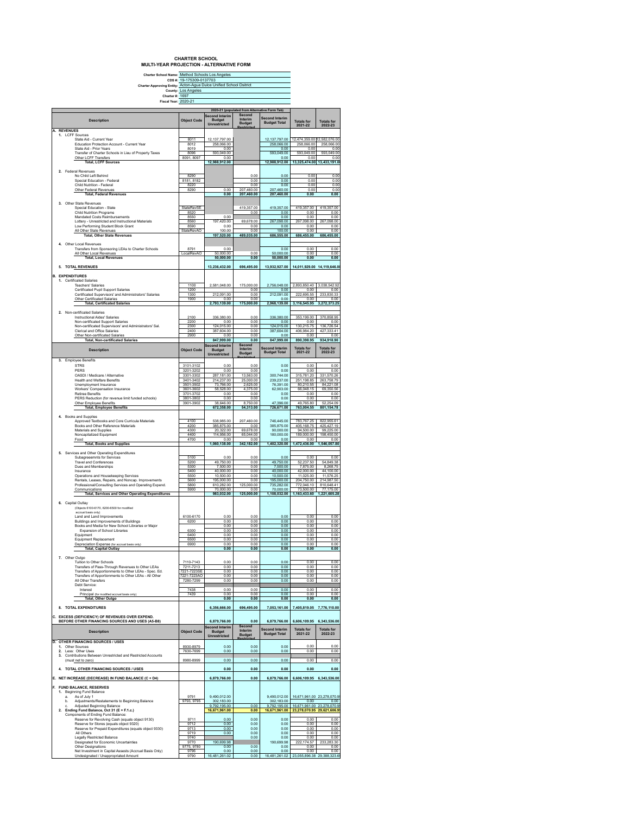#### **CHARTER SCHOOL MULTI-YEAR PROJECTION - ALTERNATIVE FORM**

|    | Charter School Name: Method Schools Los Angeles                                                              | cps #: 19-175309-0137703 |                                          |                                               |                                       |                                     |                              |
|----|--------------------------------------------------------------------------------------------------------------|--------------------------|------------------------------------------|-----------------------------------------------|---------------------------------------|-------------------------------------|------------------------------|
|    | Charter Approving Entity: Acton-Agua Dulce Unified School Dsitrict                                           |                          |                                          |                                               |                                       |                                     |                              |
|    | Charter #: 1697                                                                                              | County: Los Angeles      |                                          |                                               |                                       |                                     |                              |
|    | Fiscal Year: 2020-21                                                                                         |                          |                                          |                                               |                                       |                                     |                              |
|    |                                                                                                              |                          |                                          | 2020-21 (populated from Alternative Form Tab) |                                       |                                     |                              |
|    |                                                                                                              |                          | Second Interim                           | Second                                        | <b>Second Interim</b>                 |                                     |                              |
|    | <b>Description</b>                                                                                           | <b>Object Code</b>       | <b>Budget</b><br><b>Unrestricted</b>     | Interim<br><b>Budget</b>                      | <b>Budget Total</b>                   | <b>Totals for</b>                   | <b>Totals for</b>            |
|    | A. REVENUES                                                                                                  |                          |                                          |                                               |                                       | 2021-22                             | 2022-23                      |
|    | 1. I CFF Sources<br>State Aid - Current Year                                                                 | 8011                     | 12 137 797 00                            |                                               |                                       | 12,474,359.00 12,582,076.00         |                              |
|    | Education Protection Account - Current Year                                                                  | 8012                     | 258,066.00                               |                                               | 12,137,797.00<br>258,066.00           | 258,066.00                          | 258,066.00                   |
|    | State Aid - Prior Years                                                                                      | 8019                     | 0.00                                     |                                               | 0.00                                  | 0.00                                | 0.00                         |
|    | Transfer of Charter Schools in Lieu of Property Taxes<br>Other LCFF Transfers                                | 8096<br>8091, 8097       | 593,049.00<br>0.00                       |                                               | 593,049.00<br>0.00                    | 593,049.00<br>0.00                  | 593,049.00<br>0.00           |
|    | <b>Total, LCFF Sources</b>                                                                                   |                          | 12,988,912.00                            |                                               | 12,988,912.00                         | 13,325,474.00                       | 13,433,191.0                 |
|    | 2. Federal Revenues                                                                                          |                          |                                          |                                               |                                       |                                     |                              |
|    | No Child Left Behind<br>Special Education - Federal                                                          | 8290                     |                                          | 0.00                                          | 0.00                                  | 0.00                                | 0.00                         |
|    | Child Nutrition - Federal                                                                                    | 8181, 8182<br>8220       |                                          | 0.00<br>0.00                                  | 0.00<br>0.00                          | 0.00<br>0.00                        | 0.00<br>0.00                 |
|    | Other Federal Revenues                                                                                       | 8290                     | 0.00                                     | 207,460.00                                    | 207,460.00                            | 0.00                                | 0.00                         |
|    | <b>Total, Federal Revenues</b>                                                                               |                          | 0.00                                     | 207,460.00                                    | 207,460.00                            | 0.00                                | 0.00                         |
|    | 3. Other State Revenues                                                                                      |                          |                                          |                                               |                                       |                                     |                              |
|    | Special Education - State<br>Child Nutrition Programs                                                        | StateRevSE<br>8520       |                                          | 419,357.00<br>0.00                            | 419,357.00<br>0.00                    | 419,357.00<br>0.00                  | 419,357.00<br>0.00           |
|    | Mandated Costs Reimbursements<br>Lottery - Unrestricted and Instructional Materials                          | 8550                     | 0.00<br>197.420.00                       | 69.678.00                                     | 0.00<br>267.098.00                    | 0.00<br>267.098.00                  | 0.00<br>267.098.00           |
|    | Low Performing Student Block Grant                                                                           | 8560<br>8590             | 0.00                                     | 0.00                                          | 0.00                                  | 0.00                                | 0.00                         |
|    | All Other State Revenues                                                                                     | StateRevAO               | 100.00                                   | 0.00                                          | 100.00                                | 0.00                                | 0.00                         |
|    | <b>Total, Other State Revenues</b>                                                                           |                          | 197,520.00                               | 489,035.00                                    | 686,555.00                            | 686,455.00                          | 686,455.00                   |
|    | 4. Other Local Revenues                                                                                      |                          |                                          |                                               |                                       |                                     |                              |
|    | Transfers from Sponsoring LEAs to Charter Schools<br>All Other Local Revenues                                | 8791<br>LocalRevAO       | 0.00<br>50,000.00                        | 0.00                                          | 0.00<br>50,000.00                     | 0.00<br>0.00                        | 0.00<br>0.00                 |
|    | <b>Total, Local Revenues</b>                                                                                 |                          | 50,000.00                                | 0.00                                          | 50,000.00                             | 0.00                                | 0.00                         |
|    | 5. TOTAL REVENUES                                                                                            |                          | 13,236,432.00                            | 696,495.00                                    | 13,932,927.00                         |                                     | 14,011,929.00 14,119,646.0   |
|    |                                                                                                              |                          |                                          |                                               |                                       |                                     |                              |
|    | <b>B. EXPENDITURES</b><br>1. Certificated Salaries                                                           |                          |                                          |                                               |                                       |                                     |                              |
|    | <b>Teachers' Salaries</b>                                                                                    | 1100                     | 2,581,048.00                             | 175,000.00                                    | 2,756,048.00                          | 2,893,850.40                        | 3,038,542.92                 |
|    | Certificated Pupil Support Salaries<br>Certificated Supervisors' and Administrators' Salaries                | 1200                     |                                          | 0.00                                          | 0.00                                  | 0.00<br>222.695.55                  | 0.00                         |
|    | Other Certificated Salaries                                                                                  | 1300<br>1900             | 212,091.00<br>0.00                       | 0.00<br>0.00                                  | 212,091.00<br>0.00                    | 0.00                                | 233,830.33<br>0.00           |
|    | <b>Total, Certificated Salaries</b>                                                                          |                          | 2,793,139.00                             | 175,000.00                                    | 2,968,139.00                          | 3,116,545.95                        | 3,272,373.25                 |
|    | 2. Non-certificated Salaries                                                                                 |                          |                                          |                                               |                                       |                                     |                              |
|    | Instructional Aides' Salaries                                                                                | 2100                     | 336,380.00                               | 0.00                                          | 336,380.00                            | 353,199.00                          | 370,858.95                   |
|    | Non-certificated Support Salaries<br>Non-certificated Supervisors' and Administrators' Sal.                  | 2200<br>2300             | 0.00<br>124.015.00                       | 0.00<br>0.00                                  | 0.00<br>124.015.00                    | 0.00<br>130.215.75                  | 0.00<br>136,726.54           |
|    | Clerical and Office Salaries                                                                                 | 2400                     | 387,604.00                               | 0.00                                          | 387.604.00                            | 406.984.20                          | 427,333.41                   |
|    | Other Non-certificated Salaries<br><b>Total, Non-certificated Salaries</b>                                   | 2900                     | 0.00<br>847,999.00                       | 0.00<br>0.00                                  | 0.00<br>847,999.00                    | 0.00<br>890.398.95                  | 0.00<br>934,918.90           |
|    |                                                                                                              |                          | Second Interim                           | Second                                        |                                       |                                     | <b>Totals for</b>            |
|    | <b>Description</b>                                                                                           | <b>Object Code</b>       | <b>Budget</b>                            | Interim<br><b>Budget</b>                      | Second Interim<br><b>Budget Total</b> | <b>Totals for</b><br>2021-22        | 2022-23                      |
|    | 3. Employee Benefits                                                                                         |                          | Unrestricted                             |                                               |                                       |                                     |                              |
|    | <b>STRS</b>                                                                                                  | 3101-3102                | 0.00                                     | 0.00                                          | 0.00                                  | 0.00                                | 0.00                         |
|    | PERS                                                                                                         | 3201-3202                | 0.00                                     | 0.00                                          | 0.00                                  | 0.00                                | 0.00                         |
|    | OASDI / Medicare / Alternative<br><b>Health and Welfare Benefits</b>                                         | 3301-3302<br>3401-3402   | 287.181.00<br>214,237.00                 | 13.563.00<br>25,000.00                        | 300.744.00<br>239.237.00              | 315,781.20<br>251.198.85            | 331.570.26<br>263.758.79     |
|    | Unemployment Insurance                                                                                       | 3501-3502                | 73,766.00                                | 2.625.00                                      | 76.391.00                             | 80.210.55                           | 84.221.08                    |
|    | Workers' Compensation Insurance                                                                              | 3601-3602                | 58,528.00                                | 4,375.00                                      | 62.903.00                             | 66,048.15                           | 69,350.56                    |
|    | <b>Retiree Benefits</b><br>PERS Reduction (for revenue limit funded schools)                                 | 3701-3702<br>3801-3802   | 0.00<br>0.00                             | 0.00<br>0.00                                  | 0.00<br>0.00                          | 0.00<br>0.00                        | 0.00<br>0.00                 |
|    | Other Employee Benefits                                                                                      | 3901-3902                | 38,646.00                                | 8,750.00                                      | 47,396.00                             | 49,765.80                           | 52,254.09                    |
|    | <b>Total, Employee Benefits</b>                                                                              |                          | 672,358.00                               | 54,313.00                                     | 726,671.00                            | 763,004.55                          | 801,154.78                   |
|    | 4. Books and Supplies                                                                                        |                          |                                          |                                               |                                       |                                     |                              |
|    | Approved Textbooks and Core Curricula Materials<br>Books and Other Reference Materials                       | 4100<br>4200             | 538,985.00<br>385,875.00                 | 207,460.00<br>0.00                            | 746,445.00<br>385,875.00              | 783,767.25<br>405, 168.75           | 822,955.61<br>425,427.19     |
|    | Materials and Supplies                                                                                       | 4300                     | 20,322.00                                | 69,678.00                                     | 90,000.00                             | 94,500.00                           | 99,225.00                    |
|    | Noncapitalized Equipment                                                                                     | 4400                     | 114,956.00                               | 65,044.00                                     | 180,000.00                            | 189,000.00                          | 198,450.00                   |
|    | Food<br><b>Total, Books and Supplies</b>                                                                     | 4700                     | 0.00<br>1,060,138.00                     | 0.00<br>342,182.00                            | 0.00<br>1,402,320.00                  | 0.00<br>1,472,436.00                | 0.00<br>1,546,057.80         |
|    |                                                                                                              |                          |                                          |                                               |                                       |                                     |                              |
|    | 5. Services and Other Operating Expenditures<br>Subagreeemnts for Services                                   | 5100                     | 0.00                                     | 0.00                                          | 0.00                                  | 0.00                                | 0.00                         |
|    | <b>Travel and Conferences</b>                                                                                | 5200                     | 49,750.00                                | 0.00                                          | 49,750.00                             | 52,237.50<br>7,875.00               | 54,849.38                    |
|    | Dues and Memberships<br>Insurance                                                                            | 5300<br>5400             | 7.500.00<br>40,000.00                    | 0.00<br>0.00                                  | 7.500.00<br>40.000.00                 | 42.000.00                           | 8.268.75<br>44 100 00        |
|    | Operations and Housekeeping Services                                                                         | 5500                     | 10,500.00                                | 0.00                                          | 10.500.00                             | 11 025 00                           | 11.576.25                    |
|    | Rentals, Leases, Repairs, and Noncap. Improvements<br>Professional/Consulting Services and Operating Expend. | 5600<br>5800             | 195,000.00<br>610.282.00                 | 0.00<br>125,000.00                            | 195,000.00<br>735.282.00              | 204,750.00<br>772,046.10            | 214.987.50<br>810,648.41     |
|    | Communications                                                                                               | 5900                     | 70,000.00                                | 0.00                                          | 70,000.00                             | 73 500 00                           | 77,175.00<br>1,221,605.28    |
|    | <b>Total, Services and Other Operating Expenditures</b>                                                      |                          | 983,032.00                               | 125,000.00                                    | 1,108,032.00                          | 1,163,433.60                        |                              |
|    | 6. Capital Outlay                                                                                            |                          |                                          |                                               |                                       |                                     |                              |
|    | (Objects 6100-6170, 6200-6500 for modified<br>accrual basis only)                                            |                          |                                          |                                               |                                       |                                     |                              |
|    | Land and Land Improvements                                                                                   | 6100-6170                | 0.00                                     | 0.00                                          | 0.00                                  | 0.00                                | 0.00                         |
|    | Buildings and Improvements of Buildings<br>Books and Media for New School Libraries or Major                 | 6200                     | 0.00<br>0.00                             | 0.00<br>0.00                                  | 0.00<br>0.00                          | 0.00<br>0.00                        | 0.00<br>0.00                 |
|    | Expansion of School Libraries                                                                                | 6300                     | 0.00                                     | 0.00                                          | 0.00                                  | 0.00                                | 0.00                         |
|    | Equipment<br>Equipment Replacement                                                                           | 640U<br>6500             | u.uu<br>0.00                             | u.uu<br>0.00                                  | <b>U.UL</b><br>0.00                   | u.uu<br>0.00                        | u.uu<br>0.00                 |
|    | Depreciation Expense (for accrual basis only)                                                                | 6900                     | 0.00                                     | 0.00                                          | 0.00                                  | 0.00                                | 0.00                         |
|    | <b>Total, Capital Outlay</b>                                                                                 |                          | 0.00                                     | 0.00                                          | 0.00                                  | 0.00                                | 0.00                         |
|    | 7. Other Outgo                                                                                               |                          |                                          |                                               |                                       |                                     |                              |
|    | Tuition to Other Schools<br>Transfers of Pass-Through Revenues to Other LEAs                                 | 7110-7143<br>7211-7213   | 0.00<br>0.00                             | 0.00<br>0.00                                  | 0.00<br>0.00                          | 0.00<br>0.00                        | 0.00<br>0.00                 |
|    | Transfers of Apportionments to Other LEAs - Spec. Ed.                                                        | 7221-7223SF              | 0.00                                     | 0.00                                          | 0.00                                  | 0.00                                | 0.00                         |
|    | Transfers of Apportionments to Other LEAs - All Other                                                        | 7221-7223AO              | 0.00                                     | 0.00                                          | 0.00                                  | 0.00                                | 0.00                         |
|    | All Other Transfers<br>Debt Service:                                                                         | 7280-7299                | 0.00                                     | 0.00                                          | 0.00                                  | 0.00                                | 0.00                         |
|    | Interest                                                                                                     | 7438                     | 0.00                                     | 0.00                                          | 0.00                                  | 0.00                                | 0.00                         |
|    | Principal (for modified accrual basis only)<br><b>Total, Other Outgo</b>                                     | 7439                     | 0.00<br>0.00                             | 0.00<br>0.00                                  | 0.00<br>0.00                          | 0.00<br>0.00                        | 0.00<br>0.00                 |
|    |                                                                                                              |                          |                                          |                                               |                                       |                                     |                              |
|    | 8. TOTAL EXPENDITURES                                                                                        |                          | 6,356,666.00                             | 696,495.00                                    | 7,053,161.00                          |                                     | 7,405,819.05 7,776,110.00    |
|    | C. EXCESS (DEFICIENCY) OF REVENUES OVER EXPEND.                                                              |                          |                                          |                                               |                                       |                                     |                              |
|    | BEFORE OTHER FINANCING SOURCES AND USES (A5-B8)                                                              |                          | 6,879,766.00                             | 0.00<br>Second                                | 6,879,766.00                          | 6,606,109.95                        | 6.343.536.00                 |
|    | <b>Description</b>                                                                                           | <b>Object Code</b>       | Second Interim<br>Budget<br>Unrestricted | Interim                                       | <b>Second Interim</b>                 | <b>Totals for</b><br>2021-22        | <b>Totals for</b><br>2022-23 |
|    |                                                                                                              |                          |                                          | <b>Budget</b>                                 | <b>Budget Total</b>                   |                                     |                              |
|    | D. OTHER FINANCING SOURCES / USES<br>1. Other Sources                                                        | 8930-8979                | 0.00                                     | 0.00                                          | 0.00                                  | 0.00                                | 0.00                         |
|    | 2. Less: Other Uses                                                                                          | 7630-7699                | 0.00                                     | 0.00                                          | 0.00                                  | 0.00                                | 0.00                         |
| 3. | Contributions Between Unrestricted and Restricted Accounts                                                   |                          |                                          |                                               |                                       |                                     |                              |
|    | (must net to zero)                                                                                           | 8980-8999                | 0.00                                     | 0.00                                          | 0.00                                  | 0.00                                | 0.00                         |
|    | 4. TOTAL OTHER FINANCING SOURCES / USES                                                                      |                          | 0.00                                     | 0.00                                          | 0.00                                  | 0.00                                | 0.00                         |
|    | E. NET INCREASE (DECREASE) IN FUND BALANCE (C + D4)                                                          |                          | 6,879,766.00                             | 0.00                                          | 6,879,766.00                          |                                     | 6,606,109.95 6,343,536.00    |
|    |                                                                                                              |                          |                                          |                                               |                                       |                                     |                              |
|    | F. FUND BALANCE, RESERVES<br>1. Beginning Fund Balance                                                       |                          |                                          |                                               |                                       |                                     |                              |
|    | As of July 1<br>a.                                                                                           | 9791                     | 9.490.012.00                             |                                               | 9.490.012.00                          |                                     | 16,671,961.00 23,278,070.9   |
|    | Adjustments/Restatements to Beginning Balance<br>b.                                                          | 9793, 9795               | 302,183.00                               | 0.00                                          | 302,183.00                            | 0.00<br>16,671,961.00 23,278,070.9  | 0.00                         |
|    | Adjusted Beginning Balance<br>2. Ending Fund Balance, Oct 31 (E + F.1.c.)                                    |                          | 9,792,195.00<br>16,671,961.00            | 0.00                                          | 9,792,195.00<br>16,671,961.00         | 23,278,070.95 29,621,606.9          |                              |
|    | Components of Ending Fund Balance:                                                                           |                          |                                          | 0.00                                          |                                       |                                     |                              |
|    | Reserve for Revolving Cash (equals object 9130)<br>Reserve for Stores (equals object 9320)                   | 9711<br>9712             | 0.00<br>0.00                             | 0.00                                          | 0.00<br>0.00                          | 0.00<br>0.00                        | 0.00<br>0.00                 |
|    | Reserve for Prepaid Expenditures (equals object 9330)                                                        | 9713                     | 0.00                                     | 0.00                                          | 0.00                                  | 0.00                                | 0.00                         |
|    | All Others<br><b>Legally Restricted Balance</b>                                                              | 9719<br>9740             | 0.00                                     | 0.00<br>0.00                                  | 0.00<br>0.00                          | 0.00<br>0.00                        | 0.00<br>0.00                 |
|    | Designated for Economic Uncertainties                                                                        | 9770                     | 190,699.98                               |                                               | 190.699.98                            | 222, 174.57                         | 233,283.30                   |
|    | Other Designations                                                                                           | 9775, 9780               | 0.00                                     | 0.00                                          | 0.00                                  | 0.00                                | 0.00                         |
|    | Net Investment in Capital Assests (Accrual Basis Only)<br>Undesignated / Unappropriated Amount               | 9796<br>9790             | 0.00<br>16,481,261.02                    | 0.00<br>0.00                                  | 0.00<br>16,481,261.02                 | 0.00<br>23,055,896.38 29,388,323.65 | 0.00                         |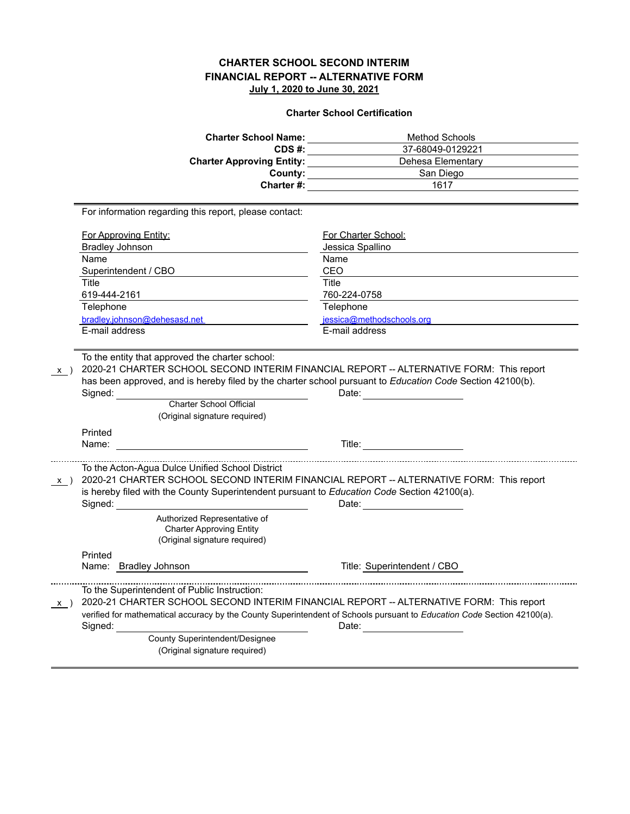|                              | <b>Charter School Name:</b>                                                     | <b>Method Schools</b>                                                                                                                                                                                                                                          |
|------------------------------|---------------------------------------------------------------------------------|----------------------------------------------------------------------------------------------------------------------------------------------------------------------------------------------------------------------------------------------------------------|
|                              | CDS#:                                                                           | 37-68049-0129221                                                                                                                                                                                                                                               |
|                              | <b>Charter Approving Entity:</b>                                                | Dehesa Elementary                                                                                                                                                                                                                                              |
|                              | County:                                                                         | San Diego                                                                                                                                                                                                                                                      |
|                              | Charter #:                                                                      | $\frac{1}{2}$ 1617                                                                                                                                                                                                                                             |
|                              | For information regarding this report, please contact:                          |                                                                                                                                                                                                                                                                |
| <b>For Approving Entity:</b> |                                                                                 | For Charter School:                                                                                                                                                                                                                                            |
| <b>Bradley Johnson</b>       |                                                                                 | Jessica Spallino                                                                                                                                                                                                                                               |
| Name                         |                                                                                 | Name                                                                                                                                                                                                                                                           |
| Superintendent / CBO         |                                                                                 | CEO                                                                                                                                                                                                                                                            |
| Title                        |                                                                                 | Title                                                                                                                                                                                                                                                          |
| 619-444-2161                 |                                                                                 | 760-224-0758                                                                                                                                                                                                                                                   |
| Telephone                    |                                                                                 | Telephone                                                                                                                                                                                                                                                      |
| bradley.johnson@dehesasd.net |                                                                                 | jessica@methodschools.org                                                                                                                                                                                                                                      |
| E-mail address               |                                                                                 | E-mail address                                                                                                                                                                                                                                                 |
| Signed:<br>Printed<br>Name:  | Charter School Official<br>(Original signature required)                        | Date: <u>_______________</u><br>Title: The Company of the Company of the Company of the Company of the Company of the Company of the Company of the Company of the Company of the Company of the Company of the Company of the Company of the Company of the C |
| $x \rightarrow$              | To the Acton-Agua Dulce Unified School District<br>Authorized Representative of | 2020-21 CHARTER SCHOOL SECOND INTERIM FINANCIAL REPORT -- ALTERNATIVE FORM: This report<br>is hereby filed with the County Superintendent pursuant to Education Code Section 42100(a).<br>Date: <u>_____________</u>                                           |
|                              | <b>Charter Approving Entity</b><br>(Original signature required)                |                                                                                                                                                                                                                                                                |
| Printed                      | Name: Bradley Johnson                                                           | Title: Superintendent / CBO                                                                                                                                                                                                                                    |
| X)<br>Signed:                | To the Superintendent of Public Instruction:                                    | 2020-21 CHARTER SCHOOL SECOND INTERIM FINANCIAL REPORT -- ALTERNATIVE FORM: This report<br>verified for mathematical accuracy by the County Superintendent of Schools pursuant to Education Code Section 42100(a).<br>Date: $\qquad \qquad \qquad$             |
|                              | County Superintendent/Designee<br>(Original signature required)                 |                                                                                                                                                                                                                                                                |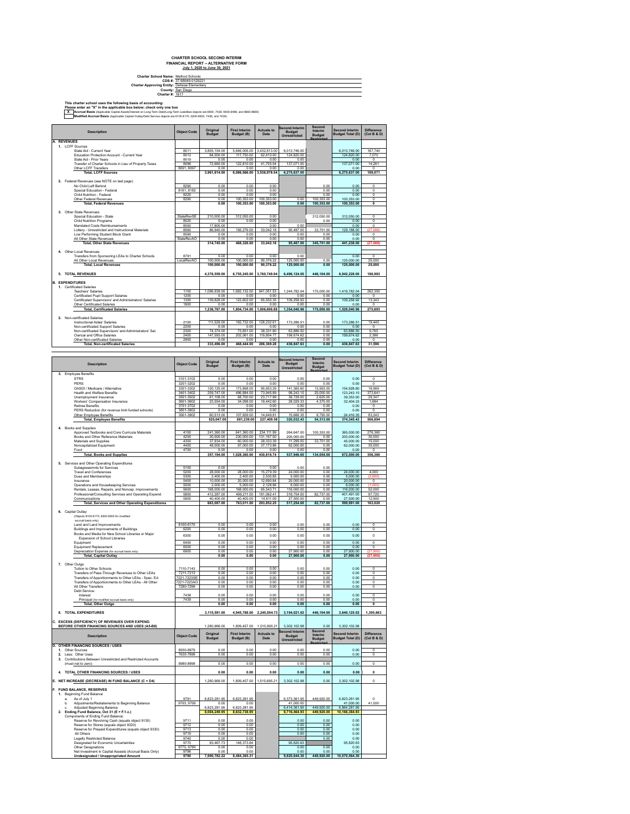| <b>Charter School Name: Method Schools</b>  |                         |
|---------------------------------------------|-------------------------|
|                                             | CDS #: 37-68049-0129221 |
| Charter Approving Entity: Dehesa Elementary |                         |
|                                             | County: San Diego       |
| Charter #: 1617                             |                         |
|                                             |                         |

This charter school uses the following basis of accounting:<br>Please enter an "X" in the applicable box below; check only one box<br>**X** Accrual Basis (Applicable Capital Assessinterstate in Long-Term Destitute and proposed are

|                                | <b>Description</b>                                                                                                          | <b>Object Code</b>         | Original<br><b>Budget</b>    | <b>First Interim</b><br>Budget (B)      | <b>Actuals to</b><br>Date | <b>Second Interim</b><br><b>Budget</b><br>Unrestricted | Second<br>Interim<br><b>Budget</b> | <b>Second Interim</b><br><b>Budget Total (D)</b> | <b>Difference</b><br>(Col B & D)                   |
|--------------------------------|-----------------------------------------------------------------------------------------------------------------------------|----------------------------|------------------------------|-----------------------------------------|---------------------------|--------------------------------------------------------|------------------------------------|--------------------------------------------------|----------------------------------------------------|
| A. REVENUES<br>1. LCFF Sources |                                                                                                                             |                            |                              |                                         |                           |                                                        |                                    |                                                  |                                                    |
|                                | State Aid - Current Year<br>Education Protection Account - Current Year                                                     | 8011<br>8012               | 3,805,154.00<br>84,000.00    | 5,846,006.00 3,432,813.00<br>117,750.00 | 62,410.00                 | 6,013,746.00<br>124,820.00                             |                                    | 6,013,746.00<br>124,820.00                       | 167,740<br>7,070                                   |
|                                | State Aid - Prior Years<br>Transfer of Charter Schools in Lieu of Property Taxes                                            | 8019<br>8096               | 0.00<br>72,660.00            | 0.00<br>122,810.00                      | 0.00<br>41,755.54         | 0.00<br>137,071.00                                     |                                    | 0.00<br>137,071.00                               | $\overline{0}$<br>14,261                           |
|                                | Other LCFF Transfers<br><b>Total, LCFF Sources</b>                                                                          | 8091, 8097                 | 0.00<br>3.961.814.00         | 0.00<br>6,086,566.00                    | 0.00<br>3.536.978.54      | 0.00                                                   |                                    | 0.00<br>6,275,637.00                             | $\circ$                                            |
|                                | 2. Federal Revenues (see NOTE on last page)                                                                                 |                            |                              |                                         |                           | 6,275,637.00                                           |                                    |                                                  | 189,071                                            |
|                                | No Child Left Behind                                                                                                        | 8290                       | 0.00                         | 0.00                                    | 0.00                      |                                                        | 0.00                               | 0.00                                             | 0                                                  |
|                                | Special Education - Federal<br>Child Nutrition - Federal                                                                    | 8181, 8182<br>8220         | 0.00<br>0.00                 | 0.00<br>0.00                            | 0.00<br>0.00              |                                                        | 0.00<br>0.00                       | 0.00<br>0.00                                     | $\overline{\mathbf{0}}$<br>$\overline{\mathbf{0}}$ |
|                                | Other Federal Revenues<br><b>Total, Federal Revenues</b>                                                                    | 8290                       | 0.00<br>0.00                 | 100.353.00<br>100.353.00                | 100 353 00<br>100.353.00  | 0.00<br>0.00                                           | 100.353.00<br>100,353.00           | 100.353.00<br>100,353.00                         | $\overline{0}$<br>$\mathbf 0$                      |
|                                | 3. Other State Revenues                                                                                                     |                            |                              |                                         |                           |                                                        |                                    |                                                  |                                                    |
|                                | Special Education - State<br>Child Nutrition Programs                                                                       | StateRevSE<br>8520         | 210,000.00<br>0.00           | 312,050.00<br>0.00                      | 0.00<br>0.00              |                                                        | 312,050.00<br>0.00                 | 312,050.00<br>0.00                               | 0<br>o                                             |
|                                | Mandated Costs Reimbursements<br>Lottery - Unrestricted and Instructional Materials                                         | 8550<br>8560               | 17,805.00<br>86,940.00       | 156,276.00                              | 0.00<br>33,042.18         | 0.00<br>95.487.00                                      | 33,701.00                          | 0.00<br>129,188.00                               | 0<br>(27<br>,088                                   |
|                                | Low Performing Student Block Grant<br>All Other State Revenues                                                              | 8590<br>StateRevAO         | 0.00<br>0.00                 | 0.00<br>0.00                            | 0.00<br>0.00              | 0.00<br>0.00                                           | 0.00<br>0.00                       | 0.00<br>0.00                                     | $^{\circ}$<br>$^{\circ}$                           |
|                                | <b>Total, Other State Revenues</b>                                                                                          |                            | 314,745.00                   | 468,326.00                              | 33,042.18                 | 95,487.00                                              | 345,751.00                         | 441,238.00                                       | 127.0                                              |
|                                | 4. Other Local Revenues<br>Transfers from Sponsoring LEAs to Charter Schools                                                | 8791                       | 0.00                         | 0.00                                    | 0.00                      | 0.00                                                   |                                    | 0.00                                             | $\overline{0}$                                     |
|                                | All Other Local Revenues<br><b>Total, Local Revenues</b>                                                                    | LocalRevAO                 | 100,000.00<br>100.000.00     | 100,000.00<br>100.000.00                | 90.376.22<br>90.376.22    | 125,000.00<br>125,000.00                               | 0.00<br>0.00                       | 125.000.00<br>125,000.00                         | 25,000<br>25,000                                   |
|                                | 5. TOTAL REVENUES                                                                                                           |                            | 4,376,559.00                 | 6,755,245.00                            | 3.760.749.94              | 6,496,124.00                                           | 446.104.00                         | 6,942,228.00                                     | 186,983                                            |
|                                |                                                                                                                             |                            |                              |                                         |                           |                                                        |                                    |                                                  |                                                    |
| <b>B. EXPENDITURES</b>         | 1. Certificated Salaries                                                                                                    |                            |                              |                                         |                           |                                                        |                                    |                                                  |                                                    |
|                                | <b>Teachers' Salaries</b><br>Certificated Pupil Support Salaries                                                            | 1100<br>1200               | 1,096,939.00<br>0.00         | 1,682,132.00<br>0.00                    | 941,051.53<br>0.00        | 1,244,782.04<br>0.00                                   | 175,000.00<br>0.00                 | 1,419,782.04<br>0.00                             | 262,350<br>$^{\circ}$                              |
|                                | Certificated Supervisors' and Administrators' Salaries<br>Other Certificated Salaries                                       | 1300<br>1900               | 139.828.00<br>0.00           | 122.602.00<br>0.00                      | 65,555.35<br>0.00         | 109.258.92<br>0.00                                     | 0.00<br>0.00                       | 109,258.92<br>0.00                               | 13.343<br>$^{\circ}$                               |
|                                | <b>Total, Certificated Salaries</b>                                                                                         |                            | 1,236,767.00                 | 1,804,734.00                            | 1,006,606.88              | 1,354,040.96                                           | 175,000.00                         | 1,529,040.96                                     | 275,693                                            |
|                                | 2. Non-certificated Salaries<br>Instructional Aides' Salaries                                                               | 2100                       | 111,529.00                   | 192,732.00                              | 128,232.61                | 173,286.51                                             | 0.00                               | 173,286.51                                       | 19,445                                             |
|                                | Non-certificated Support Salaries<br>Non-certificated Supervisors' and Administrators' Sal.                                 | 2200<br>2300               | 0.00<br>74.374.00            | 0.00<br>73.651.00                       | 0.00<br>38.331.90         | 0.00<br>63,886.50                                      | 0.00<br>0.00                       | 0.00<br>63 886 50                                | $^{\circ}$<br>9.765                                |
|                                | Clerical and Office Salaries<br>Other Non-certificated Salaries                                                             | 2400<br>2900               | 147,593.00<br>0.00           | 202,061.00<br>0.00                      | 119,804.77<br>0.00        | 199,674.62<br>0.00                                     | 0.00<br>0.00                       | 199,674.62<br>0.00                               | 2,386<br>$\overline{0}$                            |
|                                | <b>Total, Non-certificated Salaries</b>                                                                                     |                            | 333,496.00                   | 468,444.00                              | 286,369.28                | 436,847.63                                             | 0.00                               | 436,847.63                                       | 31,596                                             |
|                                |                                                                                                                             |                            |                              |                                         |                           |                                                        |                                    |                                                  |                                                    |
|                                | <b>Description</b>                                                                                                          | <b>Object Code</b>         | Original<br>Budget           | <b>First Interim</b>                    | <b>Actuals to</b><br>Date | Second Interim<br>Budget<br>Unrestricted               | <b>Second</b><br>Interim           | <b>Second Interim</b>                            | <b>Difference</b><br>(Col B & D)                   |
|                                | 3. Employee Benefits                                                                                                        |                            |                              | Budget (B)                              |                           |                                                        | <b>Budget</b>                      | <b>Budget Total (D)</b>                          |                                                    |
|                                | <b>STRS</b>                                                                                                                 | 3101-3102                  | 0.00                         | 0.00                                    | 0.00                      | 0.00                                                   | 0.00                               | 0.00                                             | $\mathbf 0$                                        |
|                                | PERS<br>OASDI / Medicare / Alternative                                                                                      | 3201-3202<br>3301-3302     | 0.00<br>120,125.00           | 0.00<br>173,898.00                      | 0.00<br>95,653.29         | 0.00<br>141.365.60                                     | 0.00<br>13,563.00                  | 0.00<br>154,928.60                               | $^{\circ}$<br>18,969                               |
|                                | <b>Health and Welfare Benefits</b><br>Unemployment Insurance                                                                | 3401-3402<br>3501-3502     | 259.747.00<br>61,108.00      | 496.884.00<br>68,700.00                 | 73,945.89<br>23,717.99    | 98.243.15<br>36,728.00                                 | 25,000.00<br>2,625.00              | 123.243.15<br>39,353.00                          | 373.641<br>29,347                                  |
|                                | Workers' Compensation Insurance<br><b>Retiree Benefits</b>                                                                  | 3601-3602<br>3701-3702     | 23,554.00<br>0.00            | 34,098.00<br>0.00                       | 19,442.60<br>0.00         | 28,029.33<br>0.00                                      | 4,375.00<br>0.00                   | 32,404.33<br>0.00                                | 1,694<br>$\overline{0}$                            |
|                                | PERS Reduction (for revenue limit funded schools)<br>Other Employee Benefits                                                | 3801-3802<br>3901-3902     | 0.00<br>60.513.00            | 0.00<br>107.659.00                      | 0.00<br>14 649 81         | 0.00<br>15 666 35                                      | 0.00<br>8.750.00                   | 0.00<br>24,416.35                                | 0<br>83.243                                        |
|                                | <b>Total, Employee Benefits</b>                                                                                             |                            | 525,047.00                   | 881,239.00                              | 227,409.58                | 320,032.43                                             | 54,313.00                          | 374,345.43                                       | 506,894                                            |
|                                | 4. Books and Supplies<br>Approved Textbooks and Core Curricula Materials                                                    | 4100                       | 241,360.00                   | 641,360.00                              | 234, 111.99               | 264,647.00                                             | 100,353.00                         | 365,000.00                                       | 276,360                                            |
|                                | Books and Other Reference Materials                                                                                         | 4200                       | 30,000.00                    | 230,000.00                              | 131, 197.50               | 200,000.00                                             | 0.00                               | 200,000.00                                       | 30,000                                             |
|                                | Materials and Supplies<br>Noncapitalized Equipment                                                                          | 4300<br>4400               | 37,834.00<br>48,000.00       | 60,000.00<br>97,000.00                  | 28,333.39<br>37,173.86    | 11,299.00<br>62,000.00                                 | 33,701.00<br>0.00                  | 45,000.00<br>62,000.00                           | 15,000<br>35,000                                   |
|                                | Food<br><b>Total, Books and Supplies</b>                                                                                    | 4700                       | 0.00<br>357,194.00           | 0.00<br>1,028,360.00                    | 0.00<br>430,816.74        | 0.00<br>537,946.00                                     | 0.00<br>134,054.00                 | 0.00<br>672,000.00                               | $^{\circ}$<br>356,360                              |
| 5.                             | Services and Other Operating Expenditures                                                                                   |                            |                              |                                         |                           |                                                        |                                    |                                                  |                                                    |
|                                | Subagreeemnts for Services<br><b>Travel and Conferences</b>                                                                 | 5100<br>5200               | 0.00<br>28,000.00            | 28,000.00                               | 0.00<br>15,279.39         | 0.00<br>24,000.00                                      | 0.00<br>0.00                       | 24,000.00                                        | 4,000                                              |
|                                | Dues and Memberships<br>Insurance                                                                                           | 5300<br>5400               | 2,400.00<br>10.000.00        | 2,400.00<br>20.000.00                   | 2,535.85<br>12.690.84     | 5,000.00<br>20.000.00                                  | 0.00<br>0.00                       | 5,000.00<br>20.000.00                            | $^{\circ}$                                         |
|                                | Operations and Housekeeping Services<br>Rentals, Leases, Repairs, and Noncap. Improvements                                  | 5500<br>5600               | 2.000.00<br>168,000.00       | 5.000.00<br>168,000.00                  | 2.128.96<br>65,543.71     | 6,000.00<br>116,000.00                                 | 0.00<br>0.00                       | 6.000.00<br>116,000.00                           | .000<br>52,000                                     |
|                                | Professional/Consulting Services and Operating Expend.<br>Communications                                                    | 5800<br>5900               | 412,287.00<br>40,400.00      | 499,211.00<br>40,400.00                 | 181,062.41<br>14,611.09   | 318,754.00<br>27,500.00                                | 82,737.00<br>0.00                  | 401,491.00<br>27,500.00                          | 97,720<br>12,900                                   |
|                                | <b>Total, Services and Other Operating Expenditures</b>                                                                     |                            | 663,087.00                   | 763,011.00                              | 293,852.25                | 517,254.00                                             | 82,737.00                          | 599,991.00                                       | 163,020                                            |
| 6. Capital Outlay              | (Objects 6100-6170, 6200-6500 for modified                                                                                  |                            |                              |                                         |                           |                                                        |                                    |                                                  |                                                    |
|                                | accrual basis only)<br>Land and Land Improvements                                                                           | 6100-6170                  | 0.00                         | 0.00                                    | 0.00                      | 0.00                                                   | 0.00                               | 0.00                                             | $\overline{0}$                                     |
|                                | Buildings and Improvements of Buildings<br>Books and Media for New School Libraries or Major                                | 6200                       | 0.00                         | 0.00                                    | 0.00                      | 0.00                                                   | 0.00                               | 0.00                                             | 0                                                  |
|                                | Expansion of School Libraries                                                                                               | 6300                       | 0.00                         | 0.00                                    | 0.00                      | 0.00                                                   | 0.00                               | 0.00                                             | $\mathbf 0$                                        |
|                                | Foujoment<br>Equipment Replacement                                                                                          | 6400<br>6500               | 0.00<br>0.00                 | 0.00<br>0.00                            | 0.00<br>0.00              | 0.00<br>0.00                                           | 0.00<br>0.00                       | 0.00<br>0.00                                     | $\overline{0}$<br>0                                |
|                                | Depreciation Expense (for accrual basis only)<br><b>Total, Capital Outlay</b>                                               | 6900                       | 0.00<br>0.00                 | 0.00<br>0.00                            | 0.00<br>0.00              | 27,900.00<br>27,900.00                                 | 0.00<br>0.00                       | 27,900.00<br>27,900.00                           | (27,90                                             |
| 7. Other Outgo                 |                                                                                                                             |                            |                              |                                         |                           |                                                        |                                    |                                                  |                                                    |
|                                | Tuition to Other Schools<br>Transfers of Pass-Through Revenues to Other LEAs                                                | 7110-7143<br>7211-7213     | 0.00<br>0.00                 | 0.00<br>0.00                            | 0.00<br>0.00              | 0.00<br>0.00                                           | 0.00<br>0.00                       | 0.00<br>0.00                                     | $\overline{\mathbf{0}}$<br>$^{\circ}$              |
|                                | Transfers of Apportionments to Other LEAs - Spec. Ed.<br>Transfers of Apportionments to Other LEAs - All Other              | 7221-7223SE<br>7221-7223AO | 0.00<br>0.00                 | 0.00<br>0.00                            | 0.00<br>0.00              | 0.00<br>0.00                                           | 0.00<br>0.00                       | 0.00<br>0.00                                     | $\overline{0}$<br>$\mathbf 0$                      |
|                                | ı Other Irar<br>Debt Service:                                                                                               |                            |                              |                                         |                           |                                                        |                                    |                                                  |                                                    |
|                                | Interest<br>Principal (for modified accrual basis only)                                                                     | 7438<br>7439               | 0.00<br>0.00                 | 0.00<br>0.00                            | 0.00<br>0.00              | 0.00<br>0.00                                           | 0.00<br>0.00                       | 0.00<br>0.00                                     | $\overline{0}$<br>0                                |
|                                | <b>Total, Other Outgo</b>                                                                                                   |                            | 0.00                         | 0.00                                    | 0.00                      | 0.00                                                   | 0.00                               | 0.00                                             | $\mathbf{0}$                                       |
|                                | 8. TOTAL EXPENDITURES                                                                                                       |                            | 3,115,591.00                 | 4,945,788.00 2,245,054.73               |                           | 3,194,021.02                                           | 446,104.00                         | 3,640,125.02                                     | 1.305.663                                          |
|                                | C. EXCESS (DEFICIENCY) OF REVENUES OVER EXPEND.<br>BEFORE OTHER FINANCING SOURCES AND USES (A5-B8)                          |                            | 1,260,968.00                 | 1.809.457.00                            | 1.515.695.2               | 3,302,102.98                                           | 0.00                               | 3,302,102.98                                     |                                                    |
|                                |                                                                                                                             |                            |                              | <b>First Interim</b>                    | <b>Actuals to</b>         | Second Interim                                         | Second<br>Interim                  | econd Interim                                    |                                                    |
|                                | <b>Description</b>                                                                                                          | <b>Object Code</b>         | Original<br>Budget           | Budget (B)                              | Date                      | <b>Budget</b><br>Unrestricted                          | <b>Budget</b>                      | <b>Budget Total (D)</b>                          | Difference<br>(Col B & D)                          |
| 1. Other Sources               | <b>D. OTHER FINANCING SOURCES / USES</b>                                                                                    | 8930-8979                  | 0.00                         | 0.00                                    | 0.00                      | 0.00                                                   | 0.00                               | 0.00                                             | $^{\circ}$                                         |
| 2.<br>3.                       | Less: Other Uses<br>Contributions Between Unrestricted and Restricted Accounts                                              | 7630-7699                  | 0.00                         | 0.00                                    | 0.00                      | 0.00                                                   | 0.00                               | 0.00                                             | 0                                                  |
|                                | (must net to zero)                                                                                                          | 8980-8999                  | 0.00                         | 0.00                                    | 0.00                      | 0.00                                                   | 0.00                               | 0.00                                             | o                                                  |
|                                | 4. TOTAL OTHER FINANCING SOURCES / USES                                                                                     |                            | 0.00                         | 0.00                                    | 0.00                      | 0.00                                                   | 0.00                               | 0.00                                             | $\mathbf 0$                                        |
|                                | E. NET INCREASE (DECREASE) IN FUND BALANCE (C + D4)                                                                         |                            | 1,260,968.00                 | 1,809,457.00 1,515,695.21               |                           | 3,302,102.98                                           | 0.00                               | 3,302,102.98                                     | $\mathbf 0$                                        |
|                                | F. FUND BALANCE, RESERVES<br>1. Beginning Fund Balance                                                                      |                            |                              |                                         |                           |                                                        |                                    |                                                  |                                                    |
| a.                             | As of July 1                                                                                                                | 9791                       | 6,823,281.95<br>0.00         | 6,823,281.95<br>0.00                    |                           | 6,373,361.95                                           | 449,920.00                         | 682328195                                        | $\Omega$                                           |
| b.                             | Adjustments/Restatements to Beginning Balance<br>Adjusted Beginning Balance                                                 | 9793, 9795                 | 6,823,281.95                 | 6.823.281.95                            |                           | 41,000.00<br>6.414,361.95                              | 449.920.00                         | 41,000.00<br>6.864.281.95                        | 41,000                                             |
|                                | 2. Ending Fund Balance, Oct 31 (E + F.1.c.)<br>Components of Ending Fund Balance:                                           |                            | 8.084,249.95                 | 8,632,738.95                            |                           | 9,716,464.93                                           | 449,920.00                         | 10,166,384.93                                    |                                                    |
|                                | Reserve for Revolving Cash (equals object 9130)<br>Reserve for Stores (equals object 9320)                                  | 9711<br>9712               | 0.00<br>0.00                 | 0.00<br>0.00                            |                           | 0.00<br>0.00                                           | 0.00<br>0.00                       | 0.00<br>0.00                                     |                                                    |
|                                | Reserve for Prepaid Expenditures (equals object 9330)<br>All Others                                                         | 9713<br>9719               | 0.00<br>0.00                 | 0.00<br>0.00                            |                           | 0.00<br>0.00                                           | 0.00<br>0.00                       | 0.00<br>0.00                                     |                                                    |
|                                |                                                                                                                             |                            |                              |                                         |                           |                                                        | 0.00                               | 0.00                                             |                                                    |
|                                | Legally Restricted Balance<br>Designated for Economic Uncertainties                                                         | 9740<br>9770               | 0.00<br>93.467.73            | 0.00<br>148.373.64                      |                           | 95.820.63                                              |                                    | 95.820.63                                        |                                                    |
|                                | Other Designations<br>Net Investment in Capital Assests (Accrual Basis Only)<br><b>Undesignated / Unappropriated Amount</b> | 9775, 9780<br>9796<br>9790 | 0.00<br>0.00<br>7,990,782.22 | 0.00<br>0.00<br>8,484,365.31            |                           | 0.00<br>0.00<br>9,620,644.30                           | 0.00<br>0.00<br>449,920.00         | 0.00<br>0.00<br>10,070,564.30                    |                                                    |